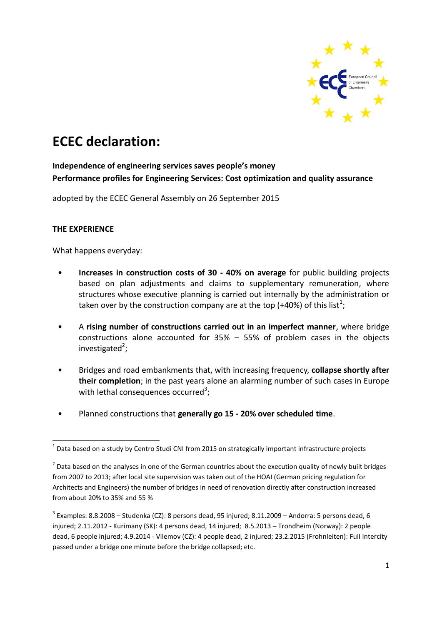

# **ECEC declaration:**

# **Independence of engineering services saves people's money Performance profiles for Engineering Services: Cost optimization and quality assurance**

adopted by the ECEC General Assembly on 26 September 2015

#### **THE EXPERIENCE**

What happens everyday:

- **Increases in construction costs of 30 - 40% on average** for public building projects based on plan adjustments and claims to supplementary remuneration, where structures whose executive planning is carried out internally by the administration or taken over by the construction company are at the top (+40%) of this list<sup>1</sup>;
- A **rising number of constructions carried out in an imperfect manner**, where bridge constructions alone accounted for 35% – 55% of problem cases in the objects investigated<sup>2</sup>;
- Bridges and road embankments that, with increasing frequency, **collapse shortly after their completion**; in the past years alone an alarming number of such cases in Europe with lethal consequences occurred<sup>3</sup>;
- Planned constructions that **generally go 15 - 20% over scheduled time**.

**<sup>.</sup>**  $^{1}$  Data based on a study by Centro Studi CNI from 2015 on strategically important infrastructure projects

 $2$  Data based on the analyses in one of the German countries about the execution quality of newly built bridges from 2007 to 2013; after local site supervision was taken out of the HOAI (German pricing regulation for Architects and Engineers) the number of bridges in need of renovation directly after construction increased from about 20% to 35% and 55 %

 $^3$  Examples: 8.8.2008 – Studenka (CZ): 8 persons dead, 95 injured; 8.11.2009 – Andorra: 5 persons dead, 6 injured; 2.11.2012 - Kurimany (SK): 4 persons dead, 14 injured; 8.5.2013 – Trondheim (Norway): 2 people dead, 6 people injured; 4.9.2014 - Vilemov (CZ): 4 people dead, 2 injured; 23.2.2015 (Frohnleiten): Full Intercity passed under a bridge one minute before the bridge collapsed; etc.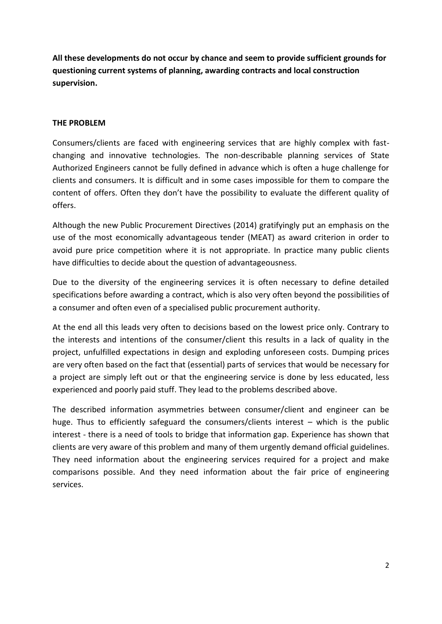**All these developments do not occur by chance and seem to provide sufficient grounds for questioning current systems of planning, awarding contracts and local construction supervision.**

#### **THE PROBLEM**

Consumers/clients are faced with engineering services that are highly complex with fastchanging and innovative technologies. The non-describable planning services of State Authorized Engineers cannot be fully defined in advance which is often a huge challenge for clients and consumers. It is difficult and in some cases impossible for them to compare the content of offers. Often they don't have the possibility to evaluate the different quality of offers.

Although the new Public Procurement Directives (2014) gratifyingly put an emphasis on the use of the most economically advantageous tender (MEAT) as award criterion in order to avoid pure price competition where it is not appropriate. In practice many public clients have difficulties to decide about the question of advantageousness.

Due to the diversity of the engineering services it is often necessary to define detailed specifications before awarding a contract, which is also very often beyond the possibilities of a consumer and often even of a specialised public procurement authority.

At the end all this leads very often to decisions based on the lowest price only. Contrary to the interests and intentions of the consumer/client this results in a lack of quality in the project, unfulfilled expectations in design and exploding unforeseen costs. Dumping prices are very often based on the fact that (essential) parts of services that would be necessary for a project are simply left out or that the engineering service is done by less educated, less experienced and poorly paid stuff. They lead to the problems described above.

The described information asymmetries between consumer/client and engineer can be huge. Thus to efficiently safeguard the consumers/clients interest – which is the public interest - there is a need of tools to bridge that information gap. Experience has shown that clients are very aware of this problem and many of them urgently demand official guidelines. They need information about the engineering services required for a project and make comparisons possible. And they need information about the fair price of engineering services.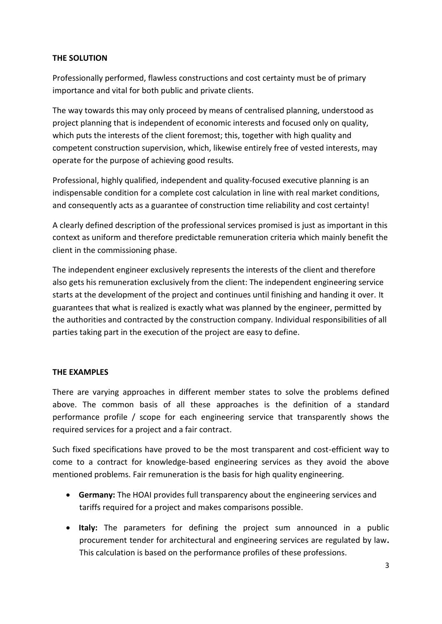#### **THE SOLUTION**

Professionally performed, flawless constructions and cost certainty must be of primary importance and vital for both public and private clients.

The way towards this may only proceed by means of centralised planning, understood as project planning that is independent of economic interests and focused only on quality, which puts the interests of the client foremost; this, together with high quality and competent construction supervision, which, likewise entirely free of vested interests, may operate for the purpose of achieving good results.

Professional, highly qualified, independent and quality-focused executive planning is an indispensable condition for a complete cost calculation in line with real market conditions, and consequently acts as a guarantee of construction time reliability and cost certainty!

A clearly defined description of the professional services promised is just as important in this context as uniform and therefore predictable remuneration criteria which mainly benefit the client in the commissioning phase.

The independent engineer exclusively represents the interests of the client and therefore also gets his remuneration exclusively from the client: The independent engineering service starts at the development of the project and continues until finishing and handing it over. It guarantees that what is realized is exactly what was planned by the engineer, permitted by the authorities and contracted by the construction company. Individual responsibilities of all parties taking part in the execution of the project are easy to define.

## **THE EXAMPLES**

There are varying approaches in different member states to solve the problems defined above. The common basis of all these approaches is the definition of a standard performance profile / scope for each engineering service that transparently shows the required services for a project and a fair contract.

Such fixed specifications have proved to be the most transparent and cost-efficient way to come to a contract for knowledge-based engineering services as they avoid the above mentioned problems. Fair remuneration is the basis for high quality engineering.

- **Germany:** The HOAI provides full transparency about the engineering services and tariffs required for a project and makes comparisons possible.
- **Italy:** The parameters for defining the project sum announced in a public procurement tender for architectural and engineering services are regulated by law**.**  This calculation is based on the performance profiles of these professions.